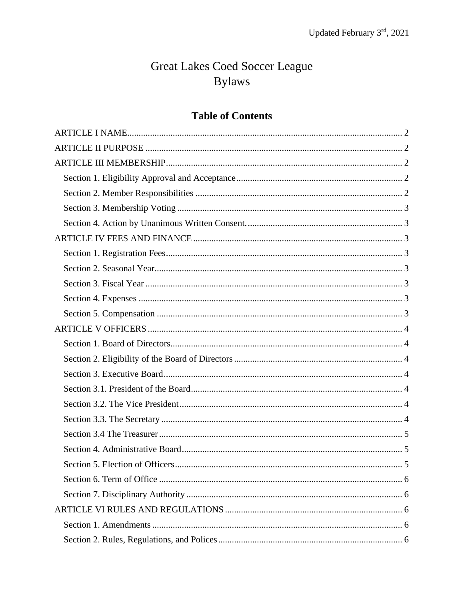# Great Lakes Coed Soccer League **Bylaws**

# **Table of Contents**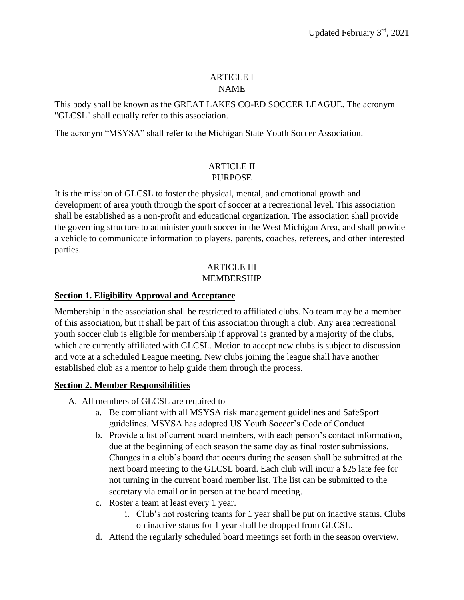## ARTICLE I NAME

<span id="page-1-0"></span>This body shall be known as the GREAT LAKES CO-ED SOCCER LEAGUE. The acronym "GLCSL" shall equally refer to this association.

The acronym "MSYSA" shall refer to the Michigan State Youth Soccer Association.

## ARTICLE II PURPOSE

<span id="page-1-1"></span>It is the mission of GLCSL to foster the physical, mental, and emotional growth and development of area youth through the sport of soccer at a recreational level. This association shall be established as a non-profit and educational organization. The association shall provide the governing structure to administer youth soccer in the West Michigan Area, and shall provide a vehicle to communicate information to players, parents, coaches, referees, and other interested parties.

## ARTICLE III MEMBERSHIP

# <span id="page-1-3"></span><span id="page-1-2"></span>**Section 1. Eligibility Approval and Acceptance**

Membership in the association shall be restricted to affiliated clubs. No team may be a member of this association, but it shall be part of this association through a club. Any area recreational youth soccer club is eligible for membership if approval is granted by a majority of the clubs, which are currently affiliated with GLCSL. Motion to accept new clubs is subject to discussion and vote at a scheduled League meeting. New clubs joining the league shall have another established club as a mentor to help guide them through the process.

# <span id="page-1-4"></span>**Section 2. Member Responsibilities**

- A. All members of GLCSL are required to
	- a. Be compliant with all MSYSA risk management guidelines and SafeSport guidelines. MSYSA has adopted US Youth Soccer's Code of Conduct
	- b. Provide a list of current board members, with each person's contact information, due at the beginning of each season the same day as final roster submissions. Changes in a club's board that occurs during the season shall be submitted at the next board meeting to the GLCSL board. Each club will incur a \$25 late fee for not turning in the current board member list. The list can be submitted to the secretary via email or in person at the board meeting.
	- c. Roster a team at least every 1 year.
		- i. Club's not rostering teams for 1 year shall be put on inactive status. Clubs on inactive status for 1 year shall be dropped from GLCSL.
	- d. Attend the regularly scheduled board meetings set forth in the season overview.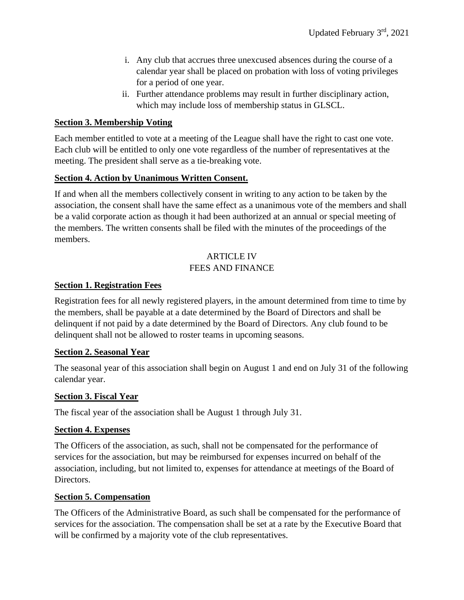- i. Any club that accrues three unexcused absences during the course of a calendar year shall be placed on probation with loss of voting privileges for a period of one year.
- ii. Further attendance problems may result in further disciplinary action, which may include loss of membership status in GLSCL.

#### <span id="page-2-0"></span>**Section 3. Membership Voting**

Each member entitled to vote at a meeting of the League shall have the right to cast one vote. Each club will be entitled to only one vote regardless of the number of representatives at the meeting. The president shall serve as a tie-breaking vote.

#### <span id="page-2-1"></span>**Section 4. Action by Unanimous Written Consent.**

If and when all the members collectively consent in writing to any action to be taken by the association, the consent shall have the same effect as a unanimous vote of the members and shall be a valid corporate action as though it had been authorized at an annual or special meeting of the members. The written consents shall be filed with the minutes of the proceedings of the members.

## ARTICLE IV FEES AND FINANCE

#### <span id="page-2-3"></span><span id="page-2-2"></span>**Section 1. Registration Fees**

Registration fees for all newly registered players, in the amount determined from time to time by the members, shall be payable at a date determined by the Board of Directors and shall be delinquent if not paid by a date determined by the Board of Directors. Any club found to be delinquent shall not be allowed to roster teams in upcoming seasons.

#### <span id="page-2-4"></span>**Section 2. Seasonal Year**

The seasonal year of this association shall begin on August 1 and end on July 31 of the following calendar year.

#### <span id="page-2-5"></span>**Section 3. Fiscal Year**

The fiscal year of the association shall be August 1 through July 31.

#### <span id="page-2-6"></span>**Section 4. Expenses**

The Officers of the association, as such, shall not be compensated for the performance of services for the association, but may be reimbursed for expenses incurred on behalf of the association, including, but not limited to, expenses for attendance at meetings of the Board of Directors.

#### <span id="page-2-7"></span>**Section 5. Compensation**

The Officers of the Administrative Board, as such shall be compensated for the performance of services for the association. The compensation shall be set at a rate by the Executive Board that will be confirmed by a majority vote of the club representatives.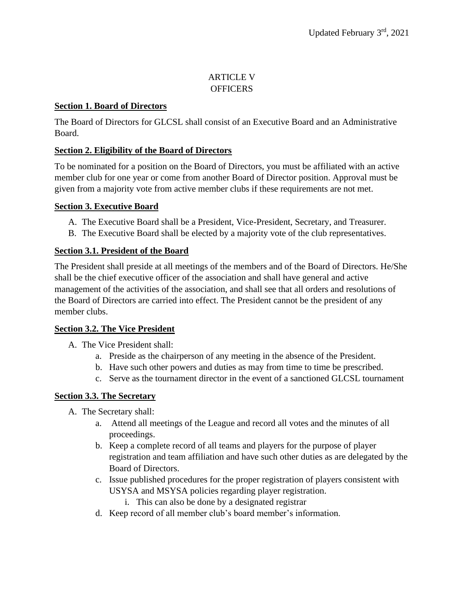## ARTICLE V **OFFICERS**

## <span id="page-3-1"></span><span id="page-3-0"></span>**Section 1. Board of Directors**

The Board of Directors for GLCSL shall consist of an Executive Board and an Administrative Board.

# <span id="page-3-2"></span>**Section 2. Eligibility of the Board of Directors**

To be nominated for a position on the Board of Directors, you must be affiliated with an active member club for one year or come from another Board of Director position. Approval must be given from a majority vote from active member clubs if these requirements are not met.

## <span id="page-3-3"></span>**Section 3. Executive Board**

- A. The Executive Board shall be a President, Vice-President, Secretary, and Treasurer.
- B. The Executive Board shall be elected by a majority vote of the club representatives.

## <span id="page-3-4"></span>**Section 3.1. President of the Board**

The President shall preside at all meetings of the members and of the Board of Directors. He/She shall be the chief executive officer of the association and shall have general and active management of the activities of the association, and shall see that all orders and resolutions of the Board of Directors are carried into effect. The President cannot be the president of any member clubs.

#### <span id="page-3-5"></span>**Section 3.2. The Vice President**

A. The Vice President shall:

- a. Preside as the chairperson of any meeting in the absence of the President.
- b. Have such other powers and duties as may from time to time be prescribed.
- c. Serve as the tournament director in the event of a sanctioned GLCSL tournament

# <span id="page-3-6"></span>**Section 3.3. The Secretary**

- A. The Secretary shall:
	- a. Attend all meetings of the League and record all votes and the minutes of all proceedings.
	- b. Keep a complete record of all teams and players for the purpose of player registration and team affiliation and have such other duties as are delegated by the Board of Directors.
	- c. Issue published procedures for the proper registration of players consistent with USYSA and MSYSA policies regarding player registration.
		- i. This can also be done by a designated registrar
	- d. Keep record of all member club's board member's information.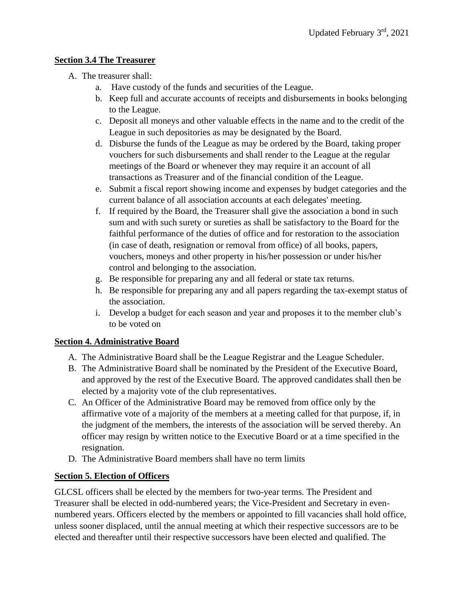# <span id="page-4-0"></span>**Section 3.4 The Treasurer**

- A. The treasurer shall:
	- a. Have custody of the funds and securities of the League.
	- b. Keep full and accurate accounts of receipts and disbursements in books belonging to the League.
	- c. Deposit all moneys and other valuable effects in the name and to the credit of the League in such depositories as may be designated by the Board.
	- d. Disburse the funds of the League as may be ordered by the Board, taking proper vouchers for such disbursements and shall render to the League at the regular meetings of the Board or whenever they may require it an account of all transactions as Treasurer and of the financial condition of the League.
	- e. Submit a fiscal report showing income and expenses by budget categories and the current balance of all association accounts at each delegates' meeting.
	- f. If required by the Board, the Treasurer shall give the association a bond in such sum and with such surety or sureties as shall be satisfactory to the Board for the faithful performance of the duties of office and for restoration to the association (in case of death, resignation or removal from office) of all books, papers, vouchers, moneys and other property in his/her possession or under his/her control and belonging to the association.
	- g. Be responsible for preparing any and all federal or state tax returns.
	- h. Be responsible for preparing any and all papers regarding the tax-exempt status of the association.
	- i. Develop a budget for each season and year and proposes it to the member club's to be voted on

# <span id="page-4-1"></span>**Section 4. Administrative Board**

- A. The Administrative Board shall be the League Registrar and the League Scheduler.
- B. The Administrative Board shall be nominated by the President of the Executive Board, and approved by the rest of the Executive Board. The approved candidates shall then be elected by a majority vote of the club representatives.
- C. An Officer of the Administrative Board may be removed from office only by the affirmative vote of a majority of the members at a meeting called for that purpose, if, in the judgment of the members, the interests of the association will be served thereby. An officer may resign by written notice to the Executive Board or at a time specified in the resignation.
- D. The Administrative Board members shall have no term limits

# <span id="page-4-2"></span>**Section 5. Election of Officers**

GLCSL officers shall be elected by the members for two-year terms. The President and Treasurer shall be elected in odd-numbered years; the Vice-President and Secretary in evennumbered years. Officers elected by the members or appointed to fill vacancies shall hold office, unless sooner displaced, until the annual meeting at which their respective successors are to be elected and thereafter until their respective successors have been elected and qualified. The